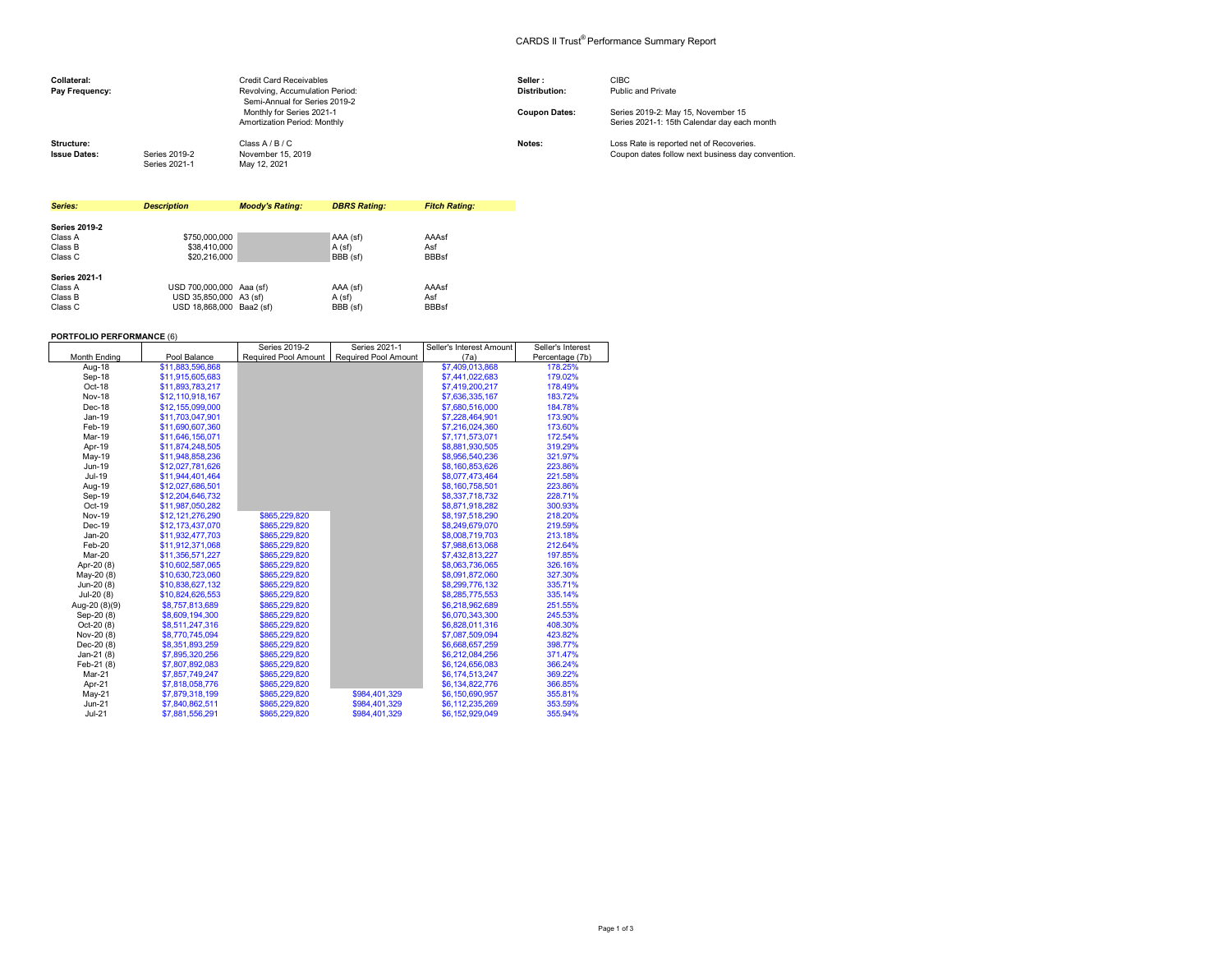## CARDS II Trust® Performance Summary Report

| Collateral:<br>Pay Frequency:     |                                | <b>Credit Card Receivables</b><br>Revolving, Accumulation Period:<br>Semi-Annual for Series 2019-2 | Seller:<br><b>Distribution:</b> | <b>CIBC</b><br>Public and Private                                                             |
|-----------------------------------|--------------------------------|----------------------------------------------------------------------------------------------------|---------------------------------|-----------------------------------------------------------------------------------------------|
|                                   |                                | Monthly for Series 2021-1<br>Amortization Period: Monthly                                          | <b>Coupon Dates:</b>            | Series 2019-2: May 15, November 15<br>Series 2021-1: 15th Calendar day each month             |
| Structure:<br><b>Issue Dates:</b> | Series 2019-2<br>Series 2021-1 | Class A / B / C<br>November 15, 2019<br>May 12, 2021                                               | Notes:                          | Loss Rate is reported net of Recoveries.<br>Coupon dates follow next business day convention. |

| Series:              | <b>Description</b>       | <b>Moody's Rating:</b> | <b>DBRS Rating:</b> | <b>Fitch Rating:</b> |
|----------------------|--------------------------|------------------------|---------------------|----------------------|
|                      |                          |                        |                     |                      |
| <b>Series 2019-2</b> |                          |                        |                     |                      |
| Class A              | \$750,000,000            |                        | AAA (sf)            | AAAsf                |
| Class B              | \$38,410,000             |                        | A (sf)              | Asf                  |
| Class C              | \$20,216,000             |                        | BBB (sf)            | <b>BBBsf</b>         |
| <b>Series 2021-1</b> |                          |                        |                     |                      |
| Class A              | USD 700,000,000 Aaa (sf) |                        | AAA (sf)            | AAAsf                |
| Class B              | USD 35.850.000 A3 (sf)   |                        | A(sf)               | Asf                  |
| Class C              | USD 18.868.000 Baa2 (sf) |                        | BBB (sf)            | <b>BBBsf</b>         |

## **PORTFOLIO PERFORMANCE** (6)

|                     |                  | Series 2019-2 | Series 2021-1                             | Seller's Interest Amount | Seller's Interest |
|---------------------|------------------|---------------|-------------------------------------------|--------------------------|-------------------|
| <b>Month Ending</b> | Pool Balance     |               | Required Pool Amount Required Pool Amount | (7a)                     | Percentage (7b)   |
| Aug-18              | \$11,883,596,868 |               |                                           | \$7,409,013,868          | 178.25%           |
| Sep-18              | \$11,915,605,683 |               |                                           | \$7,441,022,683          | 179.02%           |
| $Oct-18$            | \$11,893,783,217 |               |                                           | \$7,419,200,217          | 178.49%           |
| <b>Nov-18</b>       | \$12,110,918,167 |               |                                           | \$7,636,335,167          | 183.72%           |
| Dec-18              | \$12,155,099,000 |               |                                           | \$7,680,516,000          | 184.78%           |
| Jan-19              | \$11,703,047,901 |               |                                           | \$7,228,464,901          | 173.90%           |
| Feb-19              | \$11,690,607,360 |               |                                           | \$7,216,024,360          | 173.60%           |
| Mar-19              | \$11,646,156,071 |               |                                           | \$7,171,573,071          | 172.54%           |
| Apr-19              | \$11,874,248,505 |               |                                           | \$8,881,930,505          | 319.29%           |
| May-19              | \$11,948,858,236 |               |                                           | \$8,956,540,236          | 321.97%           |
| Jun-19              | \$12,027,781,626 |               |                                           | \$8,160,853,626          | 223.86%           |
| Jul-19              | \$11,944,401,464 |               |                                           | \$8,077,473,464          | 221.58%           |
| Aug-19              | \$12,027,686,501 |               |                                           | \$8,160,758,501          | 223.86%           |
| Sep-19              | \$12,204,646,732 |               |                                           | \$8,337,718,732          | 228.71%           |
| Oct-19              | \$11,987,050,282 |               |                                           | \$8,871,918,282          | 300.93%           |
| <b>Nov-19</b>       | \$12.121.276.290 | \$865.229.820 |                                           | \$8,197,518,290          | 218.20%           |
| Dec-19              | \$12.173.437.070 | \$865,229.820 |                                           | \$8,249,679,070          | 219.59%           |
| $Jan-20$            | \$11,932,477,703 | \$865,229.820 |                                           | \$8,008,719,703          | 213.18%           |
| Feb-20              | \$11,912,371,068 | \$865,229,820 |                                           | \$7,988,613,068          | 212.64%           |
| Mar-20              | \$11,356,571,227 | \$865,229,820 |                                           | \$7,432,813,227          | 197.85%           |
| Apr-20 (8)          | \$10,602,587,065 | \$865,229.820 |                                           | \$8,063,736,065          | 326.16%           |
| May-20 (8)          | \$10,630,723,060 | \$865,229,820 |                                           | \$8,091,872,060          | 327.30%           |
| Jun-20 (8)          | \$10,838,627,132 | \$865,229,820 |                                           | \$8,299,776,132          | 335.71%           |
| Jul-20 (8)          | \$10,824,626,553 | \$865,229,820 |                                           | \$8,285,775,553          | 335.14%           |
| Aug-20 (8)(9)       | \$8,757,813,689  | \$865,229,820 |                                           | \$6,218,962,689          | 251.55%           |
| Sep-20 (8)          | \$8,609,194,300  | \$865,229,820 |                                           | \$6,070,343,300          | 245.53%           |
| Oct-20 (8)          | \$8,511,247,316  | \$865,229,820 |                                           | \$6,828,011,316          | 408.30%           |
| Nov-20 (8)          | \$8,770,745,094  | \$865,229,820 |                                           | \$7,087,509,094          | 423.82%           |
| Dec-20 (8)          | \$8,351,893,259  | \$865,229,820 |                                           | \$6,668,657,259          | 398.77%           |
| Jan-21 $(8)$        | \$7,895,320,256  | \$865,229,820 |                                           | \$6,212,084,256          | 371.47%           |
| Feb-21 (8)          | \$7,807,892,083  | \$865.229.820 |                                           | \$6,124,656,083          | 366.24%           |
| Mar-21              | \$7,857,749,247  | \$865,229,820 |                                           | \$6,174,513,247          | 369.22%           |
| Apr-21              | \$7,818,058,776  | \$865,229,820 |                                           | \$6,134,822,776          | 366.85%           |
| $May-21$            | \$7,879,318,199  | \$865,229,820 | \$984,401,329                             | \$6,150,690,957          | 355.81%           |
| $Jun-21$            | \$7,840,862,511  | \$865,229,820 | \$984,401,329                             | \$6,112,235,269          | 353.59%           |
| $Jul-21$            | \$7,881,556,291  | \$865,229,820 | \$984,401,329                             | \$6,152,929,049          | 355.94%           |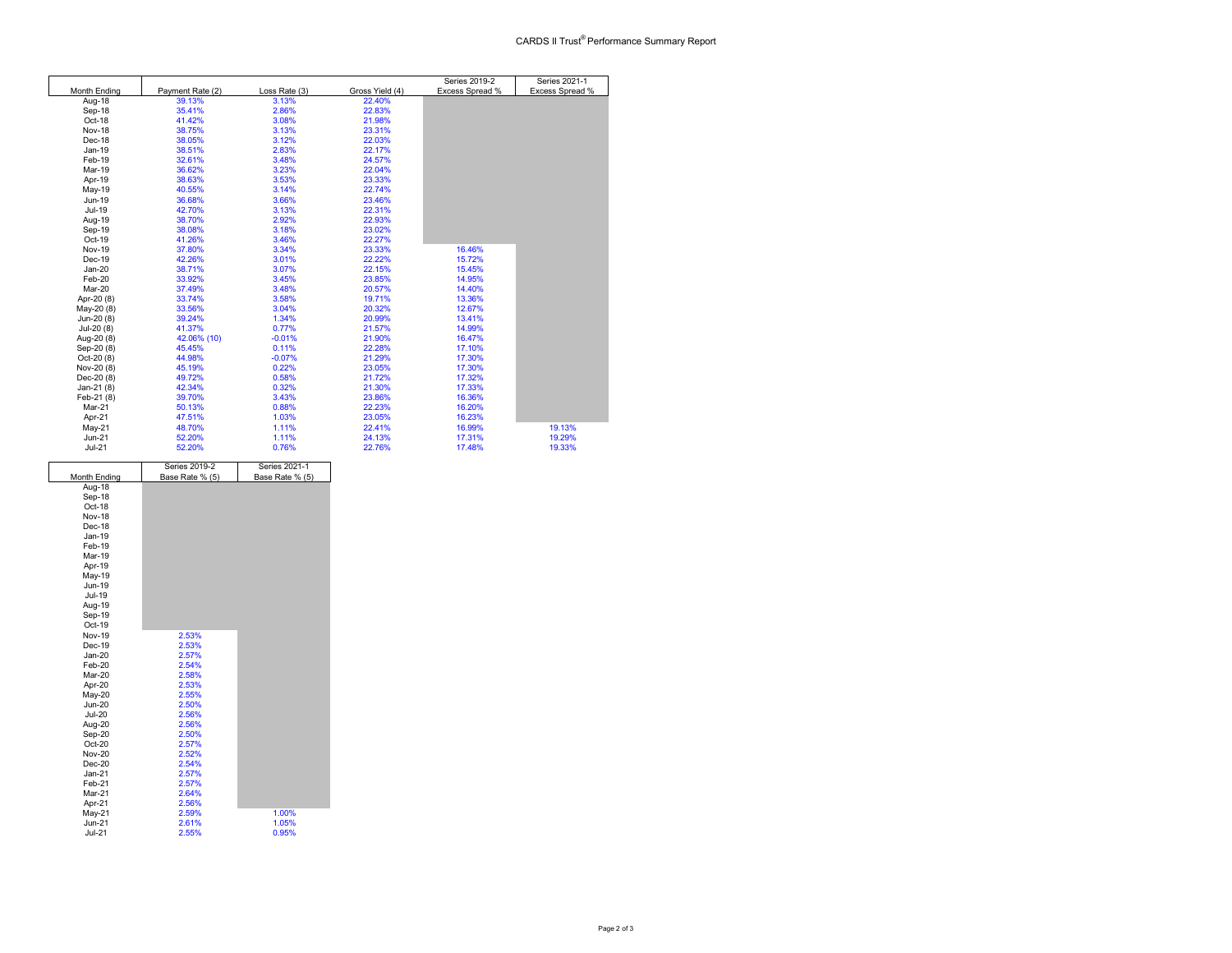|               |                  |               |                 | Series 2019-2   | Series 2021-1   |
|---------------|------------------|---------------|-----------------|-----------------|-----------------|
| Month Ending  | Payment Rate (2) | Loss Rate (3) | Gross Yield (4) | Excess Spread % | Excess Spread % |
| Aug-18        | 39.13%           | 3.13%         | 22.40%          |                 |                 |
| Sep-18        | 35.41%           | 2.86%         | 22.83%          |                 |                 |
| Oct-18        | 41.42%           | 3.08%         | 21.98%          |                 |                 |
| Nov-18        | 38.75%           | 3.13%         | 23.31%          |                 |                 |
| Dec-18        | 38.05%           | 3.12%         | 22.03%          |                 |                 |
| $Jan-19$      | 38.51%           | 2.83%         | 22.17%          |                 |                 |
| Feb-19        | 32.61%           | 3.48%         | 24.57%          |                 |                 |
| Mar-19        | 36.62%           | 3.23%         | 22.04%          |                 |                 |
| Apr-19        | 38.63%           | 3.53%         | 23.33%          |                 |                 |
| May-19        | 40.55%           | 3.14%         | 22.74%          |                 |                 |
| Jun-19        | 36.68%           | 3.66%         | 23.46%          |                 |                 |
| Jul-19        | 42.70%           | 3.13%         | 22.31%          |                 |                 |
| Aug-19        | 38.70%           | 2.92%         | 22.93%          |                 |                 |
| Sep-19        | 38.08%           | 3.18%         | 23.02%          |                 |                 |
| Oct-19        | 41.26%           | 3.46%         | 22.27%          |                 |                 |
| <b>Nov-19</b> | 37.80%           | 3.34%         | 23.33%          | 16.46%          |                 |
| Dec-19        | 42.26%           | 3.01%         | 22.22%          | 15.72%          |                 |
| $Jan-20$      | 38.71%           | 3.07%         | 22.15%          | 15.45%          |                 |
| Feb-20        | 33.92%           | 3.45%         | 23.85%          | 14.95%          |                 |
| Mar-20        | 37.49%           | 3.48%         | 20.57%          | 14.40%          |                 |
| Apr-20 (8)    | 33.74%           | 3.58%         | 19.71%          | 13.36%          |                 |
| May-20 (8)    | 33.56%           | 3.04%         | 20.32%          | 12.67%          |                 |
| Jun-20 (8)    | 39.24%           | 1.34%         | 20.99%          | 13.41%          |                 |
| Jul-20 (8)    | 41.37%           | 0.77%         | 21.57%          | 14.99%          |                 |
| Aug-20 (8)    | 42.06% (10)      | $-0.01%$      | 21.90%          | 16.47%          |                 |
| Sep-20 (8)    | 45.45%           | 0.11%         | 22.28%          | 17.10%          |                 |
| Oct-20 (8)    | 44.98%           | $-0.07%$      | 21.29%          | 17.30%          |                 |
| Nov-20 (8)    | 45.19%           | 0.22%         | 23.05%          | 17.30%          |                 |
| Dec-20 (8)    | 49.72%           | 0.58%         | 21.72%          | 17.32%          |                 |
| Jan-21 (8)    | 42.34%           | 0.32%         | 21.30%          | 17.33%          |                 |
| Feb-21 (8)    | 39.70%           | 3.43%         | 23.86%          | 16.36%          |                 |
| Mar-21        | 50.13%           | 0.88%         | 22.23%          | 16.20%          |                 |
| Apr-21        | 47.51%           | 1.03%         | 23.05%          | 16.23%          |                 |
| $May-21$      | 48.70%           | 1.11%         | 22.41%          | 16.99%          | 19.13%          |
| $Jun-21$      | 52.20%           | 1.11%         | 24.13%          | 17.31%          | 19.29%          |
| $Jul-21$      | 52.20%           | 0.76%         | 22.76%          | 17.48%          | 19.33%          |

|               | Series 2019-2   | Series 2021-1   |  |
|---------------|-----------------|-----------------|--|
| Month Ending  | Base Rate % (5) | Base Rate % (5) |  |
| Aug-18        |                 |                 |  |
| Sep-18        |                 |                 |  |
| Oct-18        |                 |                 |  |
| Nov-18        |                 |                 |  |
| Dec-18        |                 |                 |  |
| Jan-19        |                 |                 |  |
| Feb-19        |                 |                 |  |
| Mar-19        |                 |                 |  |
| Apr-19        |                 |                 |  |
| May-19        |                 |                 |  |
| Jun-19        |                 |                 |  |
| Jul-19        |                 |                 |  |
| Aug-19        |                 |                 |  |
| Sep-19        |                 |                 |  |
| Oct-19        |                 |                 |  |
| Nov-19        | 2.53%           |                 |  |
| Dec-19        | 2.53%           |                 |  |
| $Jan-20$      | 2.57%           |                 |  |
| Feb-20        | 2.54%           |                 |  |
| Mar-20        | 2.58%           |                 |  |
| Apr-20        | 2.53%           |                 |  |
| May-20        | 2.55%           |                 |  |
| <b>Jun-20</b> | 2.50%           |                 |  |
| <b>Jul-20</b> | 2.56%           |                 |  |
| Aug-20        | 2.56%           |                 |  |
| Sep-20        | 2.50%           |                 |  |
| Oct-20        | 2.57%           |                 |  |
| <b>Nov-20</b> | 2.52%           |                 |  |
| $Dec-20$      | 2.54%           |                 |  |
| $Jan-21$      | 2.57%           |                 |  |
| Feb-21        | 2.57%           |                 |  |
| Mar-21        | 2.64%           |                 |  |
| Apr-21        | 2.56%           |                 |  |
| May-21        | 2.59%           | 1.00%           |  |
| $Jun-21$      | 2.61%           | 1.05%           |  |
| $Jul-21$      | 2.55%           | 0.95%           |  |
|               |                 |                 |  |